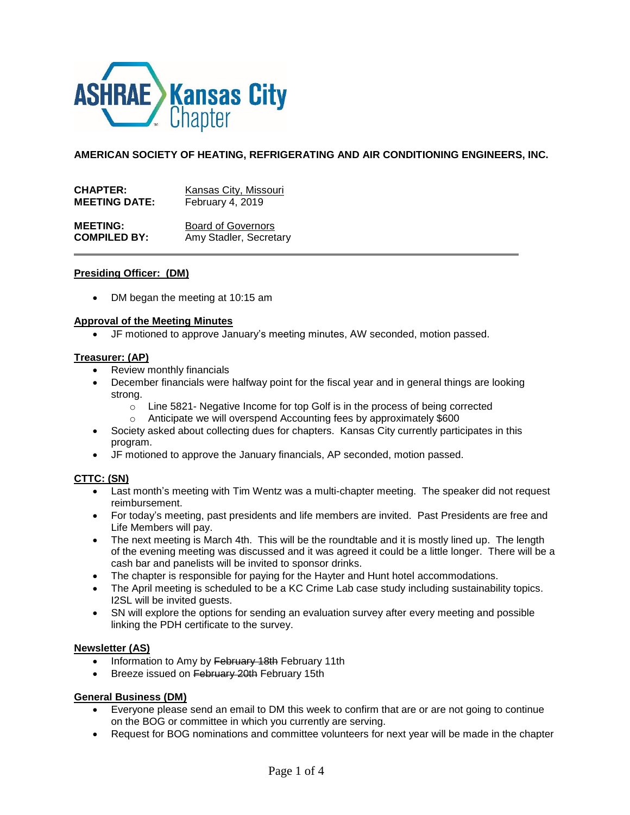

**AMERICAN SOCIETY OF HEATING, REFRIGERATING AND AIR CONDITIONING ENGINEERS, INC.**

| <b>CHAPTER:</b>      | Kansas City, Missouri     |
|----------------------|---------------------------|
| <b>MEETING DATE:</b> | February 4, 2019          |
| <b>MEETING:</b>      | <b>Board of Governors</b> |
| <b>COMPILED BY:</b>  | Amy Stadler, Secretary    |

#### **Presiding Officer: (DM)**

DM began the meeting at 10:15 am

#### **Approval of the Meeting Minutes**

JF motioned to approve January's meeting minutes, AW seconded, motion passed.

## **Treasurer: (AP)**

- Review monthly financials
- December financials were halfway point for the fiscal year and in general things are looking strong.
	- $\circ$  Line 5821- Negative Income for top Golf is in the process of being corrected
	- o Anticipate we will overspend Accounting fees by approximately \$600
- Society asked about collecting dues for chapters. Kansas City currently participates in this program.
- JF motioned to approve the January financials, AP seconded, motion passed.

# **CTTC: (SN)**

- Last month's meeting with Tim Wentz was a multi-chapter meeting. The speaker did not request reimbursement.
- For today's meeting, past presidents and life members are invited. Past Presidents are free and Life Members will pay.
- The next meeting is March 4th. This will be the roundtable and it is mostly lined up. The length of the evening meeting was discussed and it was agreed it could be a little longer. There will be a cash bar and panelists will be invited to sponsor drinks.
- The chapter is responsible for paying for the Hayter and Hunt hotel accommodations.
- The April meeting is scheduled to be a KC Crime Lab case study including sustainability topics. I2SL will be invited guests.
- SN will explore the options for sending an evaluation survey after every meeting and possible linking the PDH certificate to the survey.

#### **Newsletter (AS)**

- Information to Amy by February 18th February 11th
- Breeze issued on February 20th February 15th

#### **General Business (DM)**

- Everyone please send an email to DM this week to confirm that are or are not going to continue on the BOG or committee in which you currently are serving.
- Request for BOG nominations and committee volunteers for next year will be made in the chapter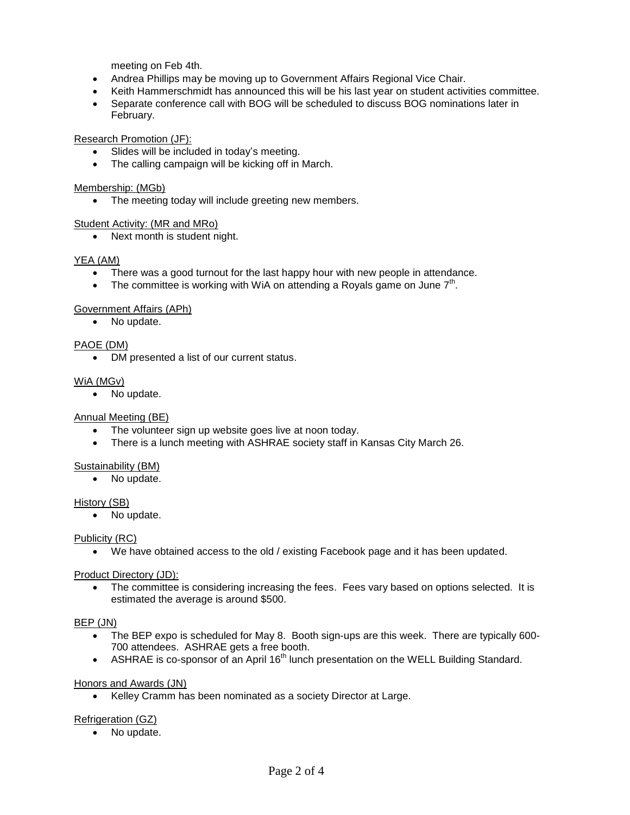meeting on Feb 4th.

- Andrea Phillips may be moving up to Government Affairs Regional Vice Chair.
- Keith Hammerschmidt has announced this will be his last year on student activities committee.
- Separate conference call with BOG will be scheduled to discuss BOG nominations later in February.

## Research Promotion (JF):

- Slides will be included in today's meeting.
- The calling campaign will be kicking off in March.

## Membership: (MGb)

• The meeting today will include greeting new members.

## Student Activity: (MR and MRo)

• Next month is student night.

## YEA (AM)

- There was a good turnout for the last happy hour with new people in attendance.
- The committee is working with WiA on attending a Royals game on June  $7<sup>th</sup>$ .

## Government Affairs (APh)

• No update.

# PAOE (DM)

DM presented a list of our current status.

## WiA (MGv)

• No update.

# Annual Meeting (BE)

- The volunteer sign up website goes live at noon today.
- There is a lunch meeting with ASHRAE society staff in Kansas City March 26.

#### Sustainability (BM)

• No update.

#### History (SB)

• No update.

# Publicity (RC)

We have obtained access to the old / existing Facebook page and it has been updated.

# Product Directory (JD):

 The committee is considering increasing the fees. Fees vary based on options selected. It is estimated the average is around \$500.

#### BEP (JN)

- The BEP expo is scheduled for May 8. Booth sign-ups are this week. There are typically 600- 700 attendees. ASHRAE gets a free booth.
- ASHRAE is co-sponsor of an April 16<sup>th</sup> lunch presentation on the WELL Building Standard.

#### Honors and Awards (JN)

Kelley Cramm has been nominated as a society Director at Large.

# Refrigeration (GZ)

• No update.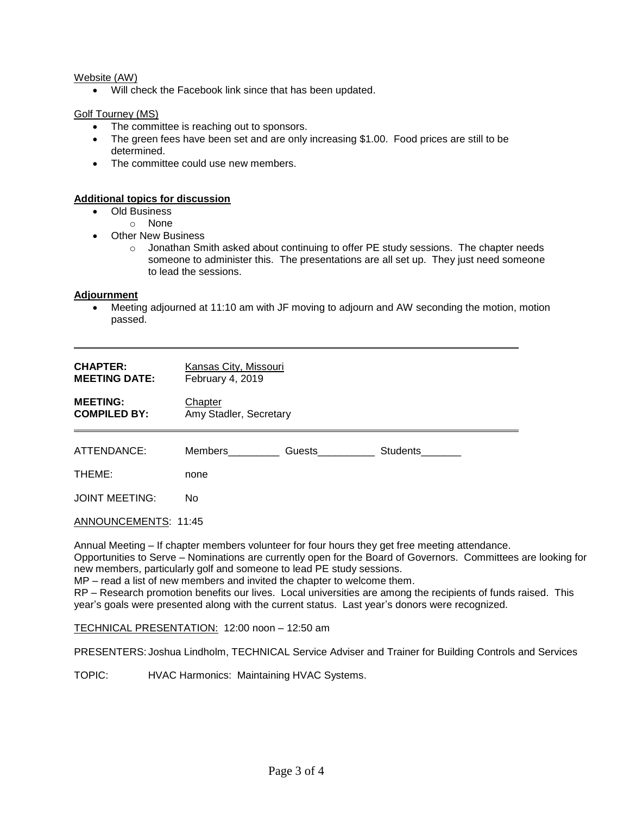## Website (AW)

Will check the Facebook link since that has been updated.

## Golf Tourney (MS)

- The committee is reaching out to sponsors.
- The green fees have been set and are only increasing \$1.00. Food prices are still to be determined.
- The committee could use new members.

#### **Additional topics for discussion**

- Old Business
	- o None
- Other New Business
	- $\circ$  Jonathan Smith asked about continuing to offer PE study sessions. The chapter needs someone to administer this. The presentations are all set up. They just need someone to lead the sessions.

#### **Adjournment**

 Meeting adjourned at 11:10 am with JF moving to adjourn and AW seconding the motion, motion passed.

| <b>CHAPTER:</b><br><b>MEETING DATE:</b> | Kansas City, Missouri<br>February 4, 2019<br>Chapter<br>Amy Stadler, Secretary |                                                                                                                                                                                                                                    |          |  |
|-----------------------------------------|--------------------------------------------------------------------------------|------------------------------------------------------------------------------------------------------------------------------------------------------------------------------------------------------------------------------------|----------|--|
| <b>MEETING:</b><br><b>COMPILED BY:</b>  |                                                                                |                                                                                                                                                                                                                                    |          |  |
| ATTENDANCE:                             | Members <b>Members</b>                                                         | <b>Guests Contract Contract Contract Contract Contract Contract Contract Contract Contract Contract Contract Contract Contract Contract Contract Contract Contract Contract Contract Contract Contract Contract Contract Contr</b> | Students |  |
| THEME:                                  | none                                                                           |                                                                                                                                                                                                                                    |          |  |
| <b>JOINT MEETING:</b>                   | No                                                                             |                                                                                                                                                                                                                                    |          |  |

ANNOUNCEMENTS: 11:45

Annual Meeting – If chapter members volunteer for four hours they get free meeting attendance. Opportunities to Serve – Nominations are currently open for the Board of Governors. Committees are looking for new members, particularly golf and someone to lead PE study sessions.

MP – read a list of new members and invited the chapter to welcome them.

RP – Research promotion benefits our lives. Local universities are among the recipients of funds raised. This year's goals were presented along with the current status. Last year's donors were recognized.

TECHNICAL PRESENTATION: 12:00 noon – 12:50 am

PRESENTERS: Joshua Lindholm, TECHNICAL Service Adviser and Trainer for Building Controls and Services

TOPIC: HVAC Harmonics: Maintaining HVAC Systems.